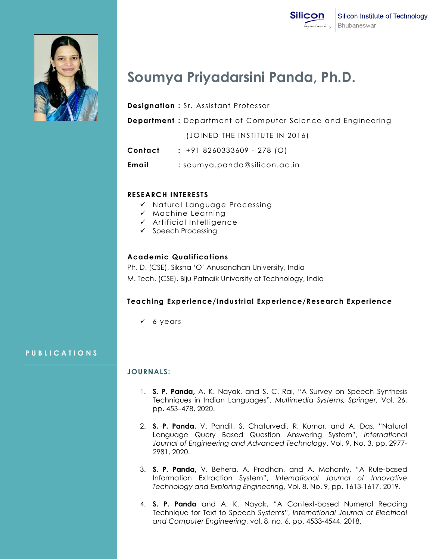

# **Soumya Priyadarsini Panda, Ph.D.**

**Designation :** Sr. Assistant Professor

**Department :** Department of Computer Science and Engineering

(JOINED THE INSTITUTE IN 2016)

- **Contact :** +91 8260333609 278 (O)
- **Email :** [soumya.panda@silicon.ac.in](mailto:soumya.panda@silicon.ac.in)

### **RESEARCH INTERESTS**

- $\checkmark$  Natural Language Processing
- $\times$  Machine Learning
- $\checkmark$  Artificial Intelligence
- $\checkmark$  Speech Processing

### **Academic Qualifications**

Ph. D. (CSE), Siksha "O" Anusandhan University, India M. Tech. (CSE), Biju Patnaik University of Technology, India

### **Teaching Experience/Industrial Experience/Research Experience**

 $6 \text{ years}$ 

### **P U B L I C A T I O N S**

### **JOURNALS:**

- 1. **S. P. Panda,** A. K. Nayak, and S. C. Rai, "A Survey on Speech Synthesis Techniques in Indian Languages", *Multimedia Systems, Springer,* Vol. 26, pp. 453–478, 2020.
- 2. **S. P. Panda,** V. Pandit, S. Chaturvedi, R. Kumar, and A. Das, "Natural Language Query Based Question Answering System", *International Journal of Engineering and Advanced Technology*, Vol. 9, No. 3, pp. 2977- 2981, 2020.
- 3. **S. P. Panda,** V. Behera, A. Pradhan, and A. Mohanty, "A Rule-based Information Extraction System", *International Journal of Innovative Technology and Exploring Engineering*, Vol. 8, No. 9, pp. 1613-1617, 2019.
- 4. **S. P. Panda** and A. K. Nayak, "A Context-based Numeral Reading Technique for Text to Speech Systems", *International Journal of Electrical and Computer Engineering*, vol. 8, no. 6, pp. 4533-4544, 2018.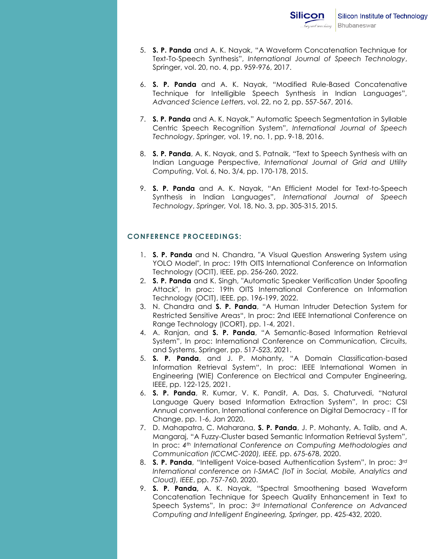- 5. **S. P. Panda** and A. K. Nayak, "A Waveform Concatenation Technique for Text-To-Speech Synthesis", *International Journal of Speech Technology*, Springer, vol. 20, no. 4, pp. 959-976, 2017.
- 6. **S. P. Panda** and A. K. Nayak, "Modified Rule-Based Concatenative Technique for Intelligible Speech Synthesis in Indian Languages", *Advanced Science Letters*, vol. 22, no 2, pp. 557-567, 2016.
- 7. **S. P. Panda** and A. K. Nayak," Automatic Speech Segmentation in Syllable Centric Speech Recognition System", *International Journal of Speech Technology*, *Springer,* vol. 19, no. 1, pp. 9-18, 2016.
- 8. **S. P. Panda**, A. K. Nayak, and S. Patnaik, "Text to Speech Synthesis with an Indian Language Perspective, *International Journal of Grid and Utility Computing*, Vol. 6, No. 3/4, pp. 170-178, 2015.
- 9. **S. P. Panda** and A. K. Nayak, "An Efficient Model for Text-to-Speech Synthesis in Indian Languages", *International Journal of Speech Technology*, *Springer,* Vol. 18, No. 3, pp. 305-315, 2015.

## **CONFERENCE PROCEEDINGS:**

- 1. **S. P. Panda** and N. Chandra, "A Visual Question Answering System using YOLO Model", In proc: 19th OITS International Conference on Information Technology (OCIT), IEEE, pp. 256-260, 2022.
- 2. **S. P. Panda** and K. Singh, "Automatic Speaker Verification Under Spoofing Attack", In proc: 19th OITS International Conference on Information Technology (OCIT), IEEE, pp. 196-199, 2022.
- 3. N. Chandra and **S. P. Panda**, "A Human Intruder Detection System for Restricted Sensitive Areas", In proc: 2nd IEEE International Conference on Range Technology (ICORT), pp. 1-4, 2021.
- 4. A. Ranjan, and **S. P. Panda**, "A Semantic-Based Information Retrieval System", In proc: International Conference on Communication, Circuits, and Systems, Springer, pp. 517-523, 2021.
- 5. **S. P. Panda**, and J. P. Mohanty, "A Domain Classification-based Information Retrieval System", In proc: IEEE International Women in Engineering (WIE) Conference on Electrical and Computer Engineering, IEEE, pp. 122-125, 2021.
- 6. **S. P. Panda**, R. Kumar, V. K. Pandit, A. Das, S. Chaturvedi, "Natural Language Query based Information Extraction System", In proc: CSI Annual convention, International conference on Digital Democracy - IT for Change, pp. 1-6, Jan 2020.
- 7. D. Mahapatra, C. Maharana, **S. P. Panda**, J. P. Mohanty, A. Talib, and A. Mangaraj, "A Fuzzy-Cluster based Semantic Information Retrieval System", In proc: *4th International Conference on Computing Methodologies and Communication (ICCMC-2020), IEEE,* pp. 675-678, 2020.
- 8. **S. P. Panda**, "Intelligent Voice-based Authentication System", In proc: *3rd International conference on I-SMAC (IoT in Social, Mobile, Analytics and Cloud), IEEE*, pp. 757-760, 2020.
- 9. **S. P. Panda,** A. K. Nayak, "Spectral Smoothening based Waveform Concatenation Technique for Speech Quality Enhancement in Text to Speech Systems", In proc: *3rd International Conference on Advanced Computing and Intelligent Engineering, Springer,* pp. 425-432, 2020.